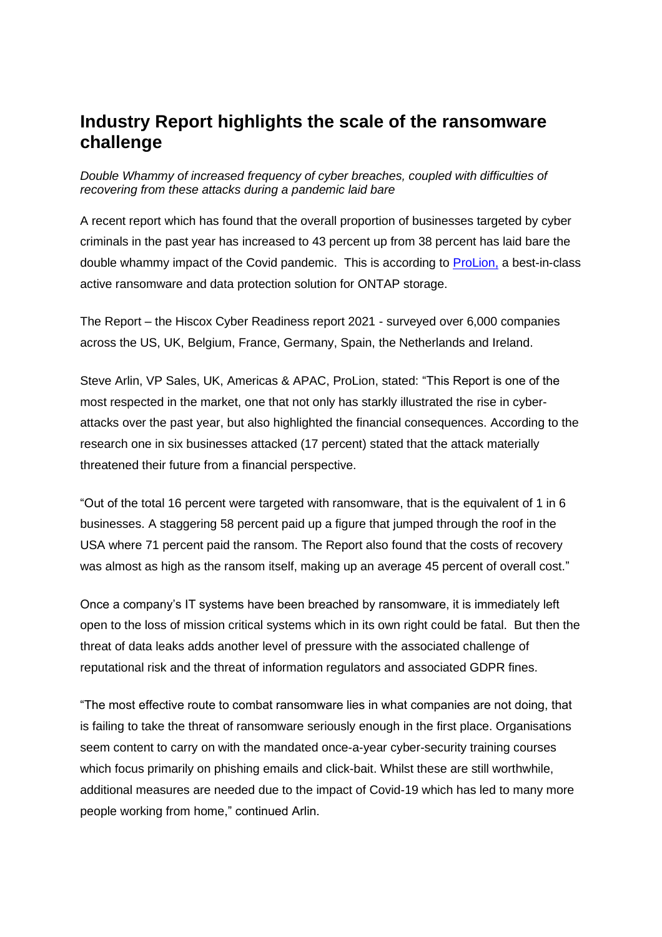## **Industry Report highlights the scale of the ransomware challenge**

*Double Whammy of increased frequency of cyber breaches, coupled with difficulties of recovering from these attacks during a pandemic laid bare*

A recent report which has found that the overall proportion of businesses targeted by cyber criminals in the past year has increased to 43 percent up from 38 percent has laid bare the double whammy impact of the Covid pandemic. This is according to [ProLion,](https://prolion.com/) a best-in-class active ransomware and data protection solution for ONTAP storage.

The Report – the Hiscox Cyber Readiness report 2021 - surveyed over 6,000 companies across the US, UK, Belgium, France, Germany, Spain, the Netherlands and Ireland.

Steve Arlin, VP Sales, UK, Americas & APAC, ProLion, stated: "This Report is one of the most respected in the market, one that not only has starkly illustrated the rise in cyberattacks over the past year, but also highlighted the financial consequences. According to the research one in six businesses attacked (17 percent) stated that the attack materially threatened their future from a financial perspective.

"Out of the total 16 percent were targeted with ransomware, that is the equivalent of 1 in 6 businesses. A staggering 58 percent paid up a figure that jumped through the roof in the USA where 71 percent paid the ransom. The Report also found that the costs of recovery was almost as high as the ransom itself, making up an average 45 percent of overall cost."

Once a company's IT systems have been breached by ransomware, it is immediately left open to the loss of mission critical systems which in its own right could be fatal. But then the threat of data leaks adds another level of pressure with the associated challenge of reputational risk and the threat of information regulators and associated GDPR fines.

"The most effective route to combat ransomware lies in what companies are not doing, that is failing to take the threat of ransomware seriously enough in the first place. Organisations seem content to carry on with the mandated once-a-year cyber-security training courses which focus primarily on phishing emails and click-bait. Whilst these are still worthwhile, additional measures are needed due to the impact of Covid-19 which has led to many more people working from home," continued Arlin.